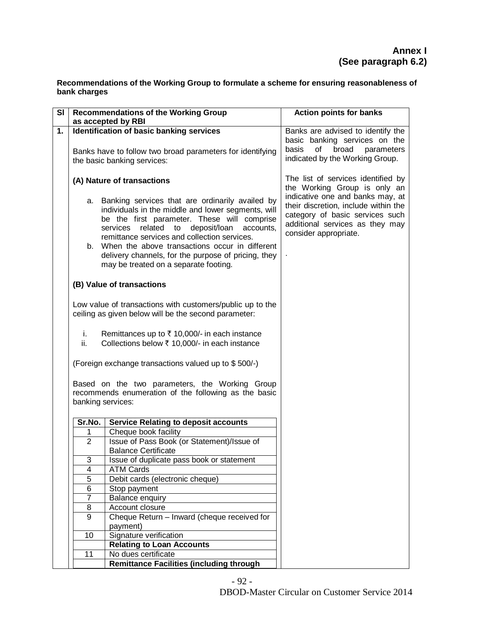**Recommendations of the Working Group to formulate a scheme for ensuring reasonableness of bank charges**

| <b>SI</b> |                                                                                                                             | <b>Recommendations of the Working Group</b>                                                                                                                                                                                                                                                                                                                                                                            | <b>Action points for banks</b>                                                                                                                                          |
|-----------|-----------------------------------------------------------------------------------------------------------------------------|------------------------------------------------------------------------------------------------------------------------------------------------------------------------------------------------------------------------------------------------------------------------------------------------------------------------------------------------------------------------------------------------------------------------|-------------------------------------------------------------------------------------------------------------------------------------------------------------------------|
|           |                                                                                                                             | as accepted by RBI                                                                                                                                                                                                                                                                                                                                                                                                     |                                                                                                                                                                         |
| 1.        |                                                                                                                             | Identification of basic banking services                                                                                                                                                                                                                                                                                                                                                                               | Banks are advised to identify the<br>basic banking services on the<br>broad                                                                                             |
|           | Banks have to follow two broad parameters for identifying<br>the basic banking services:                                    |                                                                                                                                                                                                                                                                                                                                                                                                                        | of<br>parameters<br>basis<br>indicated by the Working Group.                                                                                                            |
|           | (A) Nature of transactions                                                                                                  |                                                                                                                                                                                                                                                                                                                                                                                                                        | The list of services identified by<br>the Working Group is only an                                                                                                      |
|           |                                                                                                                             | a. Banking services that are ordinarily availed by<br>individuals in the middle and lower segments, will<br>be the first parameter. These will comprise<br>related<br>deposit/loan<br>services<br>to<br>accounts,<br>remittance services and collection services.<br>b. When the above transactions occur in different<br>delivery channels, for the purpose of pricing, they<br>may be treated on a separate footing. | indicative one and banks may, at<br>their discretion, include within the<br>category of basic services such<br>additional services as they may<br>consider appropriate. |
|           |                                                                                                                             |                                                                                                                                                                                                                                                                                                                                                                                                                        |                                                                                                                                                                         |
|           |                                                                                                                             | (B) Value of transactions                                                                                                                                                                                                                                                                                                                                                                                              |                                                                                                                                                                         |
|           |                                                                                                                             | Low value of transactions with customers/public up to the<br>ceiling as given below will be the second parameter:                                                                                                                                                                                                                                                                                                      |                                                                                                                                                                         |
|           | i.<br>ii.                                                                                                                   | Remittances up to ₹ 10,000/- in each instance<br>Collections below ₹ 10,000/- in each instance                                                                                                                                                                                                                                                                                                                         |                                                                                                                                                                         |
|           |                                                                                                                             | (Foreign exchange transactions valued up to \$500/-)                                                                                                                                                                                                                                                                                                                                                                   |                                                                                                                                                                         |
|           | Based on the two parameters, the Working Group<br>recommends enumeration of the following as the basic<br>banking services: |                                                                                                                                                                                                                                                                                                                                                                                                                        |                                                                                                                                                                         |
|           | Sr.No.                                                                                                                      | <b>Service Relating to deposit accounts</b>                                                                                                                                                                                                                                                                                                                                                                            |                                                                                                                                                                         |
|           | 1                                                                                                                           | Cheque book facility                                                                                                                                                                                                                                                                                                                                                                                                   |                                                                                                                                                                         |
|           | $\overline{2}$                                                                                                              | Issue of Pass Book (or Statement)/Issue of<br><b>Balance Certificate</b>                                                                                                                                                                                                                                                                                                                                               |                                                                                                                                                                         |
|           | 3                                                                                                                           | Issue of duplicate pass book or statement                                                                                                                                                                                                                                                                                                                                                                              |                                                                                                                                                                         |
|           | $\overline{\mathbf{4}}$                                                                                                     | <b>ATM Cards</b>                                                                                                                                                                                                                                                                                                                                                                                                       |                                                                                                                                                                         |
|           | 5                                                                                                                           | Debit cards (electronic cheque)                                                                                                                                                                                                                                                                                                                                                                                        |                                                                                                                                                                         |
|           | 6                                                                                                                           | Stop payment                                                                                                                                                                                                                                                                                                                                                                                                           |                                                                                                                                                                         |
|           | 7                                                                                                                           | <b>Balance enquiry</b>                                                                                                                                                                                                                                                                                                                                                                                                 |                                                                                                                                                                         |
|           | $\overline{8}$                                                                                                              | Account closure                                                                                                                                                                                                                                                                                                                                                                                                        |                                                                                                                                                                         |
|           | $\overline{9}$                                                                                                              | Cheque Return - Inward (cheque received for                                                                                                                                                                                                                                                                                                                                                                            |                                                                                                                                                                         |
|           |                                                                                                                             | payment)                                                                                                                                                                                                                                                                                                                                                                                                               |                                                                                                                                                                         |
|           | 10                                                                                                                          | Signature verification<br><b>Relating to Loan Accounts</b>                                                                                                                                                                                                                                                                                                                                                             |                                                                                                                                                                         |
|           | 11                                                                                                                          | No dues certificate                                                                                                                                                                                                                                                                                                                                                                                                    |                                                                                                                                                                         |
|           |                                                                                                                             | <b>Remittance Facilities (including through</b>                                                                                                                                                                                                                                                                                                                                                                        |                                                                                                                                                                         |

- 92 -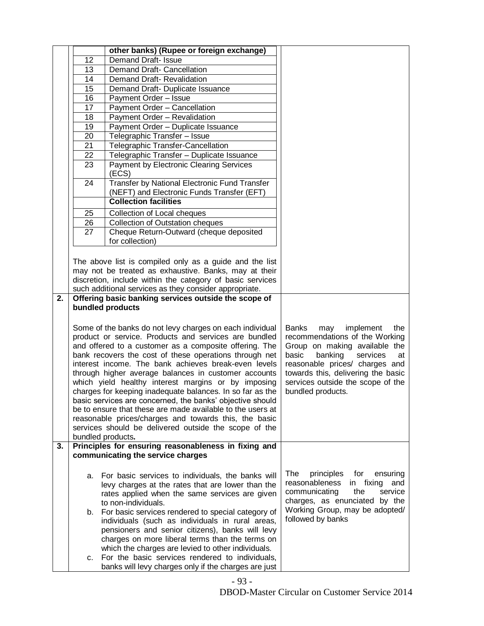|    |                   | other banks) (Rupee or foreign exchange)                                                                                                                                                                                                                                                                                                                                                                                                                                                                                                                                                                                                                                                                                                                                       |                                                                                                                                                                                                                                                                             |
|----|-------------------|--------------------------------------------------------------------------------------------------------------------------------------------------------------------------------------------------------------------------------------------------------------------------------------------------------------------------------------------------------------------------------------------------------------------------------------------------------------------------------------------------------------------------------------------------------------------------------------------------------------------------------------------------------------------------------------------------------------------------------------------------------------------------------|-----------------------------------------------------------------------------------------------------------------------------------------------------------------------------------------------------------------------------------------------------------------------------|
|    | 12                | <b>Demand Draft- Issue</b>                                                                                                                                                                                                                                                                                                                                                                                                                                                                                                                                                                                                                                                                                                                                                     |                                                                                                                                                                                                                                                                             |
|    | 13                | Demand Draft- Cancellation                                                                                                                                                                                                                                                                                                                                                                                                                                                                                                                                                                                                                                                                                                                                                     |                                                                                                                                                                                                                                                                             |
|    | 14                | Demand Draft- Revalidation                                                                                                                                                                                                                                                                                                                                                                                                                                                                                                                                                                                                                                                                                                                                                     |                                                                                                                                                                                                                                                                             |
|    | 15                | Demand Draft- Duplicate Issuance                                                                                                                                                                                                                                                                                                                                                                                                                                                                                                                                                                                                                                                                                                                                               |                                                                                                                                                                                                                                                                             |
|    | 16                | Payment Order - Issue                                                                                                                                                                                                                                                                                                                                                                                                                                                                                                                                                                                                                                                                                                                                                          |                                                                                                                                                                                                                                                                             |
|    | 17                | Payment Order - Cancellation                                                                                                                                                                                                                                                                                                                                                                                                                                                                                                                                                                                                                                                                                                                                                   |                                                                                                                                                                                                                                                                             |
|    | 18                | Payment Order - Revalidation                                                                                                                                                                                                                                                                                                                                                                                                                                                                                                                                                                                                                                                                                                                                                   |                                                                                                                                                                                                                                                                             |
|    | 19                | Payment Order - Duplicate Issuance                                                                                                                                                                                                                                                                                                                                                                                                                                                                                                                                                                                                                                                                                                                                             |                                                                                                                                                                                                                                                                             |
|    | 20                | Telegraphic Transfer - Issue                                                                                                                                                                                                                                                                                                                                                                                                                                                                                                                                                                                                                                                                                                                                                   |                                                                                                                                                                                                                                                                             |
|    | 21                | Telegraphic Transfer-Cancellation                                                                                                                                                                                                                                                                                                                                                                                                                                                                                                                                                                                                                                                                                                                                              |                                                                                                                                                                                                                                                                             |
|    | 22                | Telegraphic Transfer - Duplicate Issuance                                                                                                                                                                                                                                                                                                                                                                                                                                                                                                                                                                                                                                                                                                                                      |                                                                                                                                                                                                                                                                             |
|    | 23                | <b>Payment by Electronic Clearing Services</b><br>(ECS)                                                                                                                                                                                                                                                                                                                                                                                                                                                                                                                                                                                                                                                                                                                        |                                                                                                                                                                                                                                                                             |
|    | 24                | Transfer by National Electronic Fund Transfer                                                                                                                                                                                                                                                                                                                                                                                                                                                                                                                                                                                                                                                                                                                                  |                                                                                                                                                                                                                                                                             |
|    |                   | (NEFT) and Electronic Funds Transfer (EFT)<br><b>Collection facilities</b>                                                                                                                                                                                                                                                                                                                                                                                                                                                                                                                                                                                                                                                                                                     |                                                                                                                                                                                                                                                                             |
|    |                   |                                                                                                                                                                                                                                                                                                                                                                                                                                                                                                                                                                                                                                                                                                                                                                                |                                                                                                                                                                                                                                                                             |
|    | 25                | Collection of Local cheques                                                                                                                                                                                                                                                                                                                                                                                                                                                                                                                                                                                                                                                                                                                                                    |                                                                                                                                                                                                                                                                             |
|    | 26                | <b>Collection of Outstation cheques</b>                                                                                                                                                                                                                                                                                                                                                                                                                                                                                                                                                                                                                                                                                                                                        |                                                                                                                                                                                                                                                                             |
|    | 27                | Cheque Return-Outward (cheque deposited<br>for collection)                                                                                                                                                                                                                                                                                                                                                                                                                                                                                                                                                                                                                                                                                                                     |                                                                                                                                                                                                                                                                             |
|    |                   | The above list is compiled only as a guide and the list                                                                                                                                                                                                                                                                                                                                                                                                                                                                                                                                                                                                                                                                                                                        |                                                                                                                                                                                                                                                                             |
|    |                   | may not be treated as exhaustive. Banks, may at their                                                                                                                                                                                                                                                                                                                                                                                                                                                                                                                                                                                                                                                                                                                          |                                                                                                                                                                                                                                                                             |
|    |                   | discretion, include within the category of basic services                                                                                                                                                                                                                                                                                                                                                                                                                                                                                                                                                                                                                                                                                                                      |                                                                                                                                                                                                                                                                             |
|    |                   | such additional services as they consider appropriate.                                                                                                                                                                                                                                                                                                                                                                                                                                                                                                                                                                                                                                                                                                                         |                                                                                                                                                                                                                                                                             |
| 2. |                   | Offering basic banking services outside the scope of                                                                                                                                                                                                                                                                                                                                                                                                                                                                                                                                                                                                                                                                                                                           |                                                                                                                                                                                                                                                                             |
|    |                   | bundled products                                                                                                                                                                                                                                                                                                                                                                                                                                                                                                                                                                                                                                                                                                                                                               |                                                                                                                                                                                                                                                                             |
| 3. | bundled products. | Some of the banks do not levy charges on each individual<br>product or service. Products and services are bundled<br>and offered to a customer as a composite offering. The<br>bank recovers the cost of these operations through net<br>interest income. The bank achieves break-even levels<br>through higher average balances in customer accounts<br>which yield healthy interest margins or by imposing<br>charges for keeping inadequate balances. In so far as the<br>basic services are concerned, the banks' objective should<br>be to ensure that these are made available to the users at<br>reasonable prices/charges and towards this, the basic<br>services should be delivered outside the scope of the<br>Principles for ensuring reasonableness in fixing and | Banks<br>implement<br>may<br>the<br>recommendations of the Working<br>Group on making available the<br>basic<br>banking<br>services<br>at<br>reasonable prices/ charges and<br>towards this, delivering the basic<br>services outside the scope of the<br>bundled products. |
|    |                   | communicating the service charges                                                                                                                                                                                                                                                                                                                                                                                                                                                                                                                                                                                                                                                                                                                                              |                                                                                                                                                                                                                                                                             |
|    | а.<br>b.          | For basic services to individuals, the banks will<br>levy charges at the rates that are lower than the<br>rates applied when the same services are given<br>to non-individuals.<br>For basic services rendered to special category of<br>individuals (such as individuals in rural areas,<br>pensioners and senior citizens), banks will levy<br>charges on more liberal terms than the terms on<br>which the charges are levied to other individuals.                                                                                                                                                                                                                                                                                                                         | The<br>principles<br>for<br>ensuring<br>reasonableness<br>in fixing<br>and<br>the<br>service<br>communicating<br>charges, as enunciated by the<br>Working Group, may be adopted/<br>followed by banks                                                                       |
|    | c.                | For the basic services rendered to individuals,<br>banks will levy charges only if the charges are just                                                                                                                                                                                                                                                                                                                                                                                                                                                                                                                                                                                                                                                                        |                                                                                                                                                                                                                                                                             |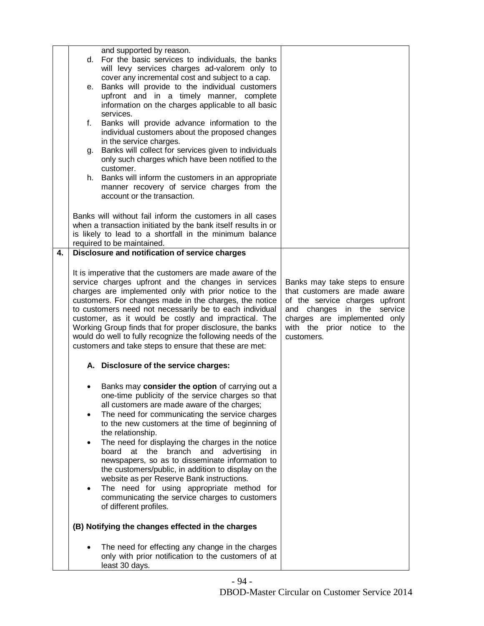|    |                                                           | and supported by reason.                                                                                          |                                                              |
|----|-----------------------------------------------------------|-------------------------------------------------------------------------------------------------------------------|--------------------------------------------------------------|
|    | d.                                                        | For the basic services to individuals, the banks                                                                  |                                                              |
|    |                                                           | will levy services charges ad-valorem only to<br>cover any incremental cost and subject to a cap.                 |                                                              |
|    | е.                                                        | Banks will provide to the individual customers                                                                    |                                                              |
|    |                                                           | upfront and in a timely manner, complete                                                                          |                                                              |
|    |                                                           | information on the charges applicable to all basic                                                                |                                                              |
|    |                                                           | services.                                                                                                         |                                                              |
|    | f.                                                        | Banks will provide advance information to the                                                                     |                                                              |
|    |                                                           | individual customers about the proposed changes                                                                   |                                                              |
|    |                                                           | in the service charges.                                                                                           |                                                              |
|    | g.                                                        | Banks will collect for services given to individuals<br>only such charges which have been notified to the         |                                                              |
|    |                                                           | customer.                                                                                                         |                                                              |
|    |                                                           | h. Banks will inform the customers in an appropriate                                                              |                                                              |
|    |                                                           | manner recovery of service charges from the                                                                       |                                                              |
|    |                                                           | account or the transaction.                                                                                       |                                                              |
|    |                                                           |                                                                                                                   |                                                              |
|    |                                                           | Banks will without fail inform the customers in all cases                                                         |                                                              |
|    |                                                           | when a transaction initiated by the bank itself results in or                                                     |                                                              |
|    |                                                           | is likely to lead to a shortfall in the minimum balance                                                           |                                                              |
| 4. |                                                           | required to be maintained.<br>Disclosure and notification of service charges                                      |                                                              |
|    |                                                           |                                                                                                                   |                                                              |
|    | It is imperative that the customers are made aware of the |                                                                                                                   |                                                              |
|    |                                                           | service charges upfront and the changes in services                                                               | Banks may take steps to ensure                               |
|    |                                                           | charges are implemented only with prior notice to the                                                             | that customers are made aware                                |
|    |                                                           | customers. For changes made in the charges, the notice                                                            | of the service charges upfront                               |
|    |                                                           | to customers need not necessarily be to each individual                                                           | and changes in the service                                   |
|    |                                                           | customer, as it would be costly and impractical. The<br>Working Group finds that for proper disclosure, the banks | charges are implemented only<br>with the prior notice to the |
|    |                                                           | would do well to fully recognize the following needs of the                                                       | customers.                                                   |
|    |                                                           | customers and take steps to ensure that these are met:                                                            |                                                              |
|    |                                                           | A. Disclosure of the service charges:                                                                             |                                                              |
|    |                                                           |                                                                                                                   |                                                              |
|    |                                                           | Banks may consider the option of carrying out a                                                                   |                                                              |
|    |                                                           | one-time publicity of the service charges so that                                                                 |                                                              |
|    |                                                           | all customers are made aware of the charges;                                                                      |                                                              |
|    |                                                           | The need for communicating the service charges                                                                    |                                                              |
|    |                                                           | to the new customers at the time of beginning of                                                                  |                                                              |
|    |                                                           | the relationship.                                                                                                 |                                                              |
|    |                                                           | The need for displaying the charges in the notice                                                                 |                                                              |
|    |                                                           | at the branch and<br>board<br>advertising<br>in.                                                                  |                                                              |
|    |                                                           | newspapers, so as to disseminate information to<br>the customers/public, in addition to display on the            |                                                              |
|    |                                                           | website as per Reserve Bank instructions.                                                                         |                                                              |
|    |                                                           | The need for using appropriate method for                                                                         |                                                              |
|    |                                                           | communicating the service charges to customers                                                                    |                                                              |
|    |                                                           | of different profiles.                                                                                            |                                                              |
|    |                                                           |                                                                                                                   |                                                              |
|    |                                                           | (B) Notifying the changes effected in the charges                                                                 |                                                              |
|    |                                                           | The need for effecting any change in the charges                                                                  |                                                              |
|    |                                                           | only with prior notification to the customers of at                                                               |                                                              |
|    |                                                           | least 30 days.                                                                                                    |                                                              |

- 94 -